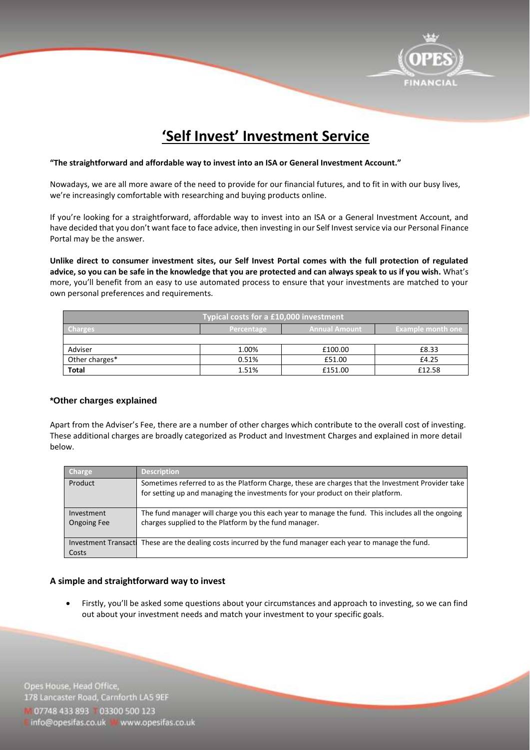

# **'Self Invest' Investment Service**

#### **"The straightforward and affordable way to invest into an ISA or General Investment Account."**

Nowadays, we are all more aware of the need to provide for our financial futures, and to fit in with our busy lives, we're increasingly comfortable with researching and buying products online.

If you're looking for a straightforward, affordable way to invest into an ISA or a General Investment Account, and have decided that you don't want face to face advice, then investing in our Self Invest service via our Personal Finance Portal may be the answer.

**Unlike direct to consumer investment sites, our Self Invest Portal comes with the full protection of regulated advice, so you can be safe in the knowledge that you are protected and can always speak to us if you wish.** What's more, you'll benefit from an easy to use automated process to ensure that your investments are matched to your own personal preferences and requirements.

| <b>Typical costs for a £10,000 investment</b> |            |                 |                          |
|-----------------------------------------------|------------|-----------------|--------------------------|
| <b>Charges</b>                                | Percentage | ' Annual Amount | <b>Example month one</b> |
|                                               |            |                 |                          |
| Adviser                                       | 1.00%      | £100.00         | £8.33                    |
| Other charges*                                | 0.51%      | £51.00          | £4.25                    |
| <b>Total</b>                                  | 1.51%      | £151.00         | £12.58                   |

### **\*Other charges explained**

Apart from the Adviser's Fee, there are a number of other charges which contribute to the overall cost of investing. These additional charges are broadly categorized as Product and Investment Charges and explained in more detail below.

| Charge                               | <b>Description</b>                                                                                                                                                                   |
|--------------------------------------|--------------------------------------------------------------------------------------------------------------------------------------------------------------------------------------|
| Product                              | Sometimes referred to as the Platform Charge, these are charges that the Investment Provider take<br>for setting up and managing the investments for your product on their platform. |
| Investment<br><b>Ongoing Fee</b>     | The fund manager will charge you this each year to manage the fund. This includes all the ongoing<br>charges supplied to the Platform by the fund manager.                           |
| <b>Investment Transacti</b><br>Costs | These are the dealing costs incurred by the fund manager each year to manage the fund.                                                                                               |

### **A simple and straightforward way to invest**

 Firstly, you'll be asked some questions about your circumstances and approach to investing, so we can find out about your investment needs and match your investment to your specific goals.

Opes House, Head Office, 178 Lancaster Road, Carnforth LAS 9EF 07748 433 893 03300 500 123 info@opesifas.co.uk • www.opesifas.co.uk